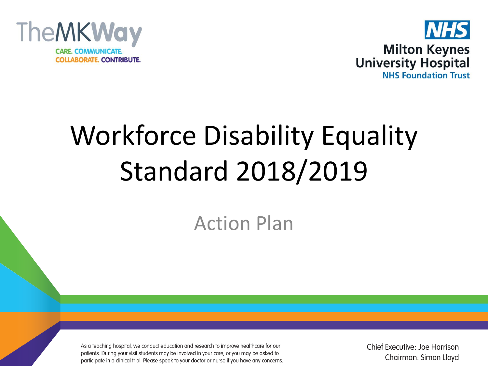



# Workforce Disability Equality Standard 2018/2019

Action Plan

As a teaching hospital, we conduct education and research to improve healthcare for our patients. During your visit students may be involved in your care, or you may be asked to participate in a clinical trial. Please speak to your doctor or nurse if you have any concerns. Chief Executive: Joe Harrison Chairman: Simon Lloyd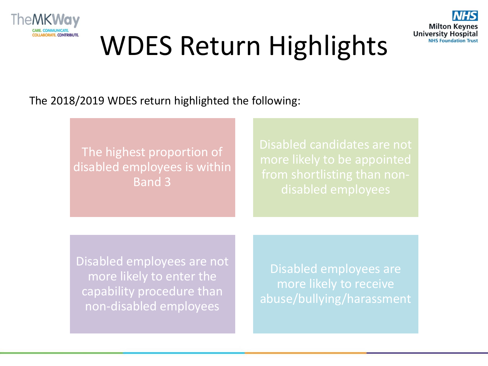



# WDES Return Highlights

The 2018/2019 WDES return highlighted the following:

The highest proportion of disabled employees is within Band 3

Disabled employees are not more likely to enter the capability procedure than non-disabled employees

Disabled employees are more likely to receive abuse/bullying/harassment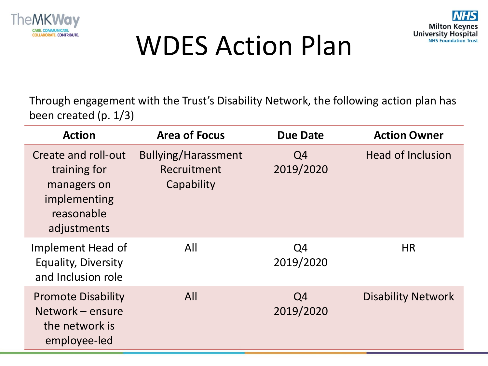



## WDES Action Plan

Through engagement with the Trust's Disability Network, the following action plan has been created (p. 1/3)

| <b>Action</b>                                                                                   | <b>Area of Focus</b>                             | <b>Due Date</b> | <b>Action Owner</b>       |
|-------------------------------------------------------------------------------------------------|--------------------------------------------------|-----------------|---------------------------|
| Create and roll-out<br>training for<br>managers on<br>implementing<br>reasonable<br>adjustments | Bullying/Harassment<br>Recruitment<br>Capability | Q4<br>2019/2020 | <b>Head of Inclusion</b>  |
| Implement Head of<br><b>Equality, Diversity</b><br>and Inclusion role                           | All                                              | Q4<br>2019/2020 | <b>HR</b>                 |
| <b>Promote Disability</b><br>Network – ensure<br>the network is<br>employee-led                 | All                                              | Q4<br>2019/2020 | <b>Disability Network</b> |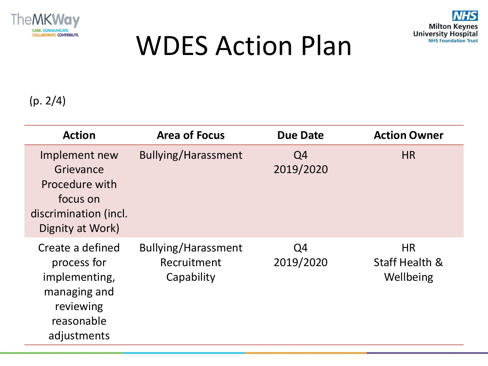



### WDES Action Plan

#### (p. 2/4)

| <b>Action</b>                                                                                              | <b>Area of Focus</b>                             | <b>Due Date</b> | <b>Action Owner</b>                                 |
|------------------------------------------------------------------------------------------------------------|--------------------------------------------------|-----------------|-----------------------------------------------------|
| Implement new<br>Grievance<br>Procedure with<br>focus on<br>discrimination (incl.<br>Dignity at Work)      | Bullying/Harassment                              | Q4<br>2019/2020 | <b>HR</b>                                           |
| Create a defined<br>process for<br>implementing,<br>managing and<br>reviewing<br>reasonable<br>adjustments | Bullying/Harassment<br>Recruitment<br>Capability | Q4<br>2019/2020 | <b>HR</b><br><b>Staff Health &amp;</b><br>Wellbeing |